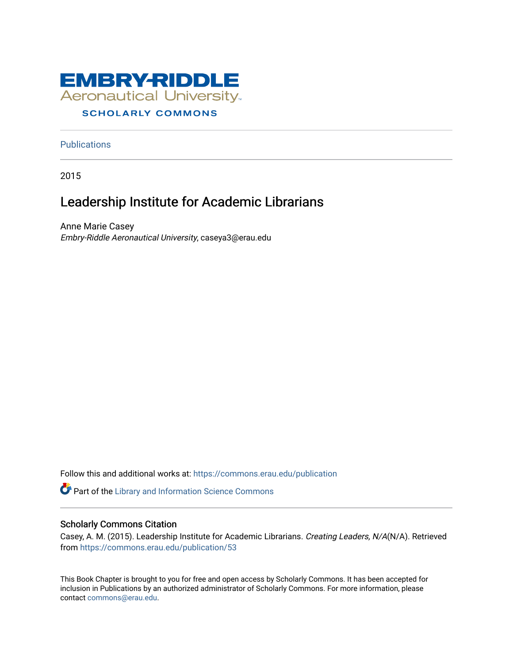

# **SCHOLARLY COMMONS**

**Publications** 

2015

# Leadership Institute for Academic Librarians

Anne Marie Casey Embry-Riddle Aeronautical University, caseya3@erau.edu

Follow this and additional works at: [https://commons.erau.edu/publication](https://commons.erau.edu/publication?utm_source=commons.erau.edu%2Fpublication%2F53&utm_medium=PDF&utm_campaign=PDFCoverPages) 

Part of the [Library and Information Science Commons](http://network.bepress.com/hgg/discipline/1018?utm_source=commons.erau.edu%2Fpublication%2F53&utm_medium=PDF&utm_campaign=PDFCoverPages) 

## Scholarly Commons Citation

Casey, A. M. (2015). Leadership Institute for Academic Librarians. Creating Leaders, N/A(N/A). Retrieved from [https://commons.erau.edu/publication/53](https://commons.erau.edu/publication/53?utm_source=commons.erau.edu%2Fpublication%2F53&utm_medium=PDF&utm_campaign=PDFCoverPages) 

This Book Chapter is brought to you for free and open access by Scholarly Commons. It has been accepted for inclusion in Publications by an authorized administrator of Scholarly Commons. For more information, please contact [commons@erau.edu.](mailto:commons@erau.edu)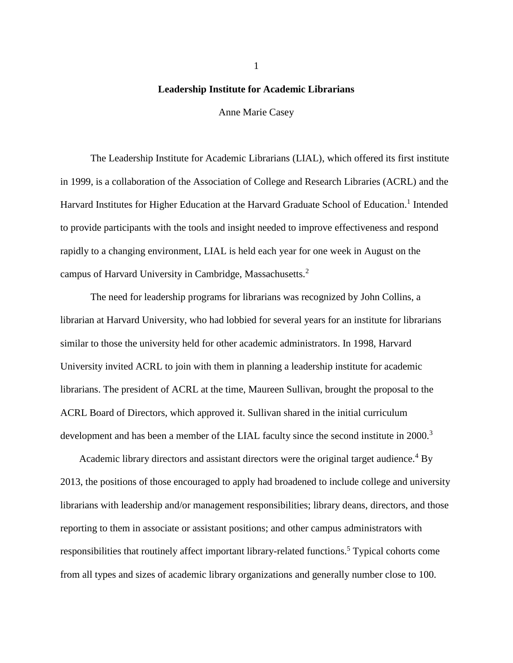## **Leadership Institute for Academic Librarians**

Anne Marie Casey

The Leadership Institute for Academic Librarians (LIAL), which offered its first institute in 1999, is a collaboration of the Association of College and Research Libraries (ACRL) and the Harvard Institutes for Higher Education at the Harvard Graduate School of Education.<sup>1</sup> Intended to provide participants with the tools and insight needed to improve effectiveness and respond rapidly to a changing environment, LIAL is held each year for one week in August on the campus of Harvard University in Cambridge, Massachusetts.<sup>2</sup>

The need for leadership programs for librarians was recognized by John Collins, a librarian at Harvard University, who had lobbied for several years for an institute for librarians similar to those the university held for other academic administrators. In 1998, Harvard University invited ACRL to join with them in planning a leadership institute for academic librarians. The president of ACRL at the time, Maureen Sullivan, brought the proposal to the ACRL Board of Directors, which approved it. Sullivan shared in the initial curriculum development and has been a member of the LIAL faculty since the second institute in 2000.<sup>3</sup>

Academic library directors and assistant directors were the original target audience.<sup>4</sup> By 2013, the positions of those encouraged to apply had broadened to include college and university librarians with leadership and/or management responsibilities; library deans, directors, and those reporting to them in associate or assistant positions; and other campus administrators with responsibilities that routinely affect important library-related functions.<sup>5</sup> Typical cohorts come from all types and sizes of academic library organizations and generally number close to 100.

1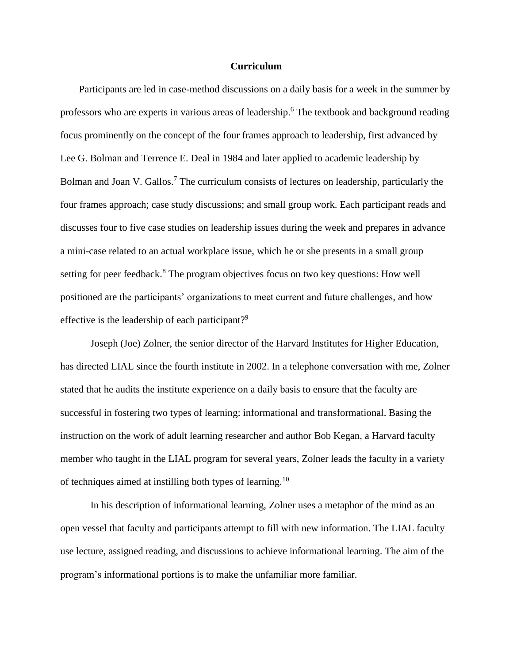## **Curriculum**

Participants are led in case-method discussions on a daily basis for a week in the summer by professors who are experts in various areas of leadership. <sup>6</sup> The textbook and background reading focus prominently on the concept of the four frames approach to leadership, first advanced by Lee G. Bolman and Terrence E. Deal in 1984 and later applied to academic leadership by Bolman and Joan V. Gallos.<sup>7</sup> The curriculum consists of lectures on leadership, particularly the four frames approach; case study discussions; and small group work. Each participant reads and discusses four to five case studies on leadership issues during the week and prepares in advance a mini-case related to an actual workplace issue, which he or she presents in a small group setting for peer feedback.<sup>8</sup> The program objectives focus on two key questions: How well positioned are the participants' organizations to meet current and future challenges, and how effective is the leadership of each participant?<sup>9</sup>

Joseph (Joe) Zolner, the senior director of the Harvard Institutes for Higher Education, has directed LIAL since the fourth institute in 2002. In a telephone conversation with me, Zolner stated that he audits the institute experience on a daily basis to ensure that the faculty are successful in fostering two types of learning: informational and transformational. Basing the instruction on the work of adult learning researcher and author Bob Kegan, a Harvard faculty member who taught in the LIAL program for several years, Zolner leads the faculty in a variety of techniques aimed at instilling both types of learning.<sup>10</sup>

In his description of informational learning, Zolner uses a metaphor of the mind as an open vessel that faculty and participants attempt to fill with new information. The LIAL faculty use lecture, assigned reading, and discussions to achieve informational learning. The aim of the program's informational portions is to make the unfamiliar more familiar.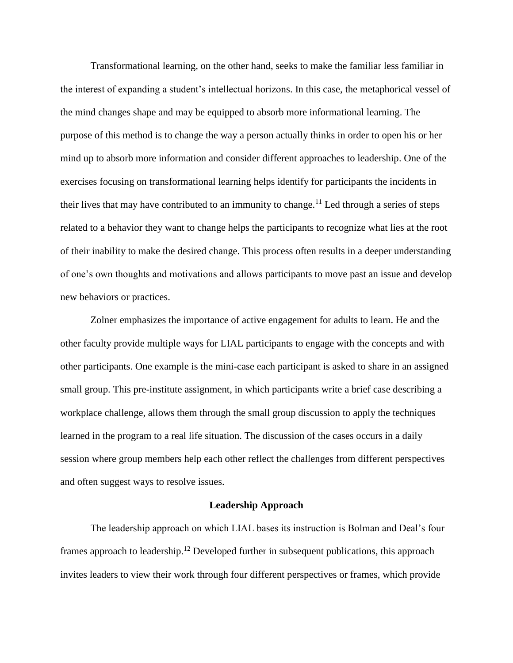Transformational learning, on the other hand, seeks to make the familiar less familiar in the interest of expanding a student's intellectual horizons. In this case, the metaphorical vessel of the mind changes shape and may be equipped to absorb more informational learning. The purpose of this method is to change the way a person actually thinks in order to open his or her mind up to absorb more information and consider different approaches to leadership. One of the exercises focusing on transformational learning helps identify for participants the incidents in their lives that may have contributed to an immunity to change.<sup>11</sup> Led through a series of steps related to a behavior they want to change helps the participants to recognize what lies at the root of their inability to make the desired change. This process often results in a deeper understanding of one's own thoughts and motivations and allows participants to move past an issue and develop new behaviors or practices.

Zolner emphasizes the importance of active engagement for adults to learn. He and the other faculty provide multiple ways for LIAL participants to engage with the concepts and with other participants. One example is the mini-case each participant is asked to share in an assigned small group. This pre-institute assignment, in which participants write a brief case describing a workplace challenge, allows them through the small group discussion to apply the techniques learned in the program to a real life situation. The discussion of the cases occurs in a daily session where group members help each other reflect the challenges from different perspectives and often suggest ways to resolve issues.

## **Leadership Approach**

The leadership approach on which LIAL bases its instruction is Bolman and Deal's four frames approach to leadership.<sup>12</sup> Developed further in subsequent publications, this approach invites leaders to view their work through four different perspectives or frames, which provide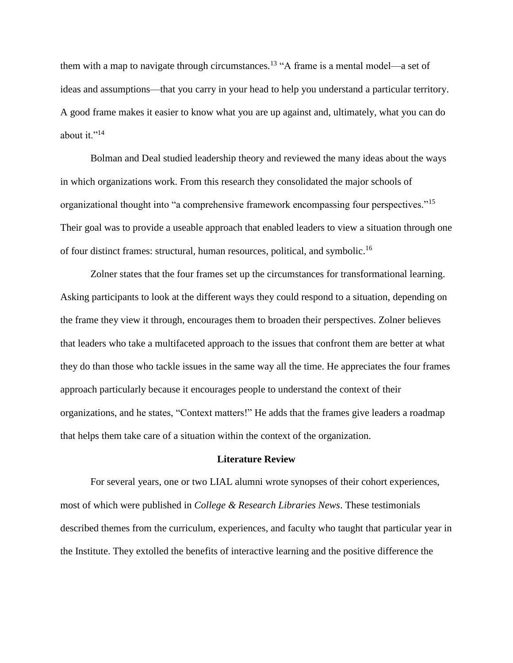them with a map to navigate through circumstances.<sup>13</sup> "A frame is a mental model—a set of ideas and assumptions—that you carry in your head to help you understand a particular territory. A good frame makes it easier to know what you are up against and, ultimately, what you can do about it." $^{14}$ 

Bolman and Deal studied leadership theory and reviewed the many ideas about the ways in which organizations work. From this research they consolidated the major schools of organizational thought into "a comprehensive framework encompassing four perspectives."<sup>15</sup> Their goal was to provide a useable approach that enabled leaders to view a situation through one of four distinct frames: structural, human resources, political, and symbolic.<sup>16</sup>

Zolner states that the four frames set up the circumstances for transformational learning. Asking participants to look at the different ways they could respond to a situation, depending on the frame they view it through, encourages them to broaden their perspectives. Zolner believes that leaders who take a multifaceted approach to the issues that confront them are better at what they do than those who tackle issues in the same way all the time. He appreciates the four frames approach particularly because it encourages people to understand the context of their organizations, and he states, "Context matters!" He adds that the frames give leaders a roadmap that helps them take care of a situation within the context of the organization.

## **Literature Review**

For several years, one or two LIAL alumni wrote synopses of their cohort experiences, most of which were published in *College & Research Libraries News*. These testimonials described themes from the curriculum, experiences, and faculty who taught that particular year in the Institute. They extolled the benefits of interactive learning and the positive difference the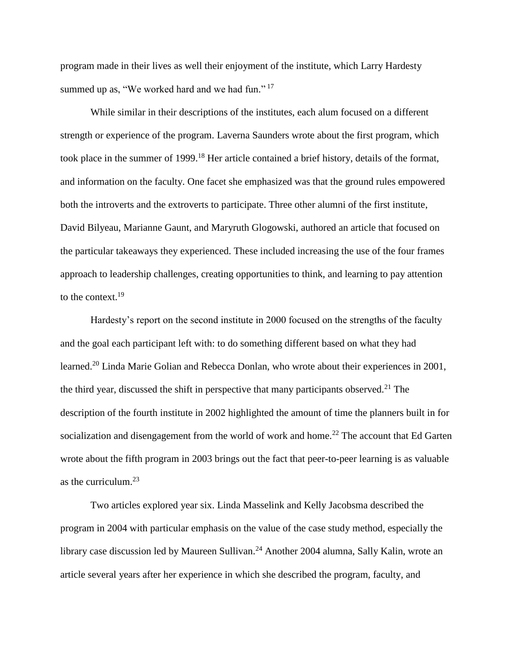program made in their lives as well their enjoyment of the institute, which Larry Hardesty summed up as, "We worked hard and we had fun."<sup>17</sup>

While similar in their descriptions of the institutes, each alum focused on a different strength or experience of the program. Laverna Saunders wrote about the first program, which took place in the summer of 1999.<sup>18</sup> Her article contained a brief history, details of the format, and information on the faculty. One facet she emphasized was that the ground rules empowered both the introverts and the extroverts to participate. Three other alumni of the first institute, David Bilyeau, Marianne Gaunt, and Maryruth Glogowski, authored an article that focused on the particular takeaways they experienced. These included increasing the use of the four frames approach to leadership challenges, creating opportunities to think, and learning to pay attention to the context.<sup>19</sup>

Hardesty's report on the second institute in 2000 focused on the strengths of the faculty and the goal each participant left with: to do something different based on what they had learned.<sup>20</sup> Linda Marie Golian and Rebecca Donlan, who wrote about their experiences in 2001, the third year, discussed the shift in perspective that many participants observed.<sup>21</sup> The description of the fourth institute in 2002 highlighted the amount of time the planners built in for socialization and disengagement from the world of work and home.<sup>22</sup> The account that Ed Garten wrote about the fifth program in 2003 brings out the fact that peer-to-peer learning is as valuable as the curriculum.<sup>23</sup>

Two articles explored year six. Linda Masselink and Kelly Jacobsma described the program in 2004 with particular emphasis on the value of the case study method, especially the library case discussion led by Maureen Sullivan.<sup>24</sup> Another 2004 alumna, Sally Kalin, wrote an article several years after her experience in which she described the program, faculty, and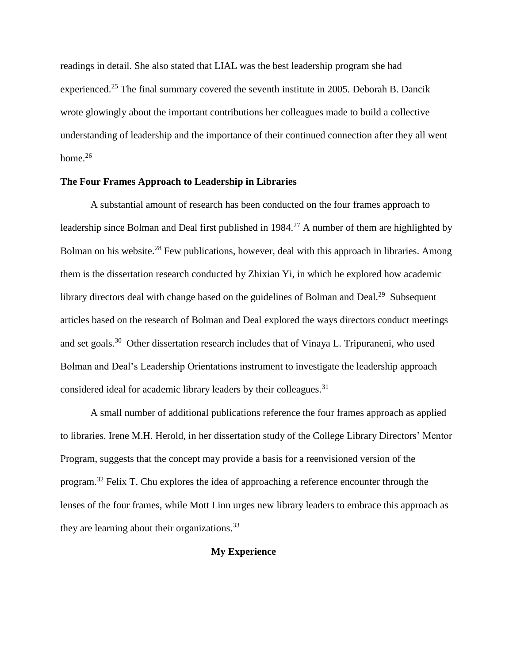readings in detail. She also stated that LIAL was the best leadership program she had experienced.<sup>25</sup> The final summary covered the seventh institute in 2005. Deborah B. Dancik wrote glowingly about the important contributions her colleagues made to build a collective understanding of leadership and the importance of their continued connection after they all went home. $26$ 

# **The Four Frames Approach to Leadership in Libraries**

A substantial amount of research has been conducted on the four frames approach to leadership since Bolman and Deal first published in  $1984<sup>27</sup>$  A number of them are highlighted by Bolman on his website.<sup>28</sup> Few publications, however, deal with this approach in libraries. Among them is the dissertation research conducted by Zhixian Yi, in which he explored how academic library directors deal with change based on the guidelines of Bolman and Deal.<sup>29</sup> Subsequent articles based on the research of Bolman and Deal explored the ways directors conduct meetings and set goals.<sup>30</sup> Other dissertation research includes that of Vinaya L. Tripuraneni, who used Bolman and Deal's Leadership Orientations instrument to investigate the leadership approach considered ideal for academic library leaders by their colleagues.<sup>31</sup>

A small number of additional publications reference the four frames approach as applied to libraries. Irene M.H. Herold, in her dissertation study of the College Library Directors' Mentor Program, suggests that the concept may provide a basis for a reenvisioned version of the program.<sup>32</sup> Felix T. Chu explores the idea of approaching a reference encounter through the lenses of the four frames, while Mott Linn urges new library leaders to embrace this approach as they are learning about their organizations.  $33$ 

# **My Experience**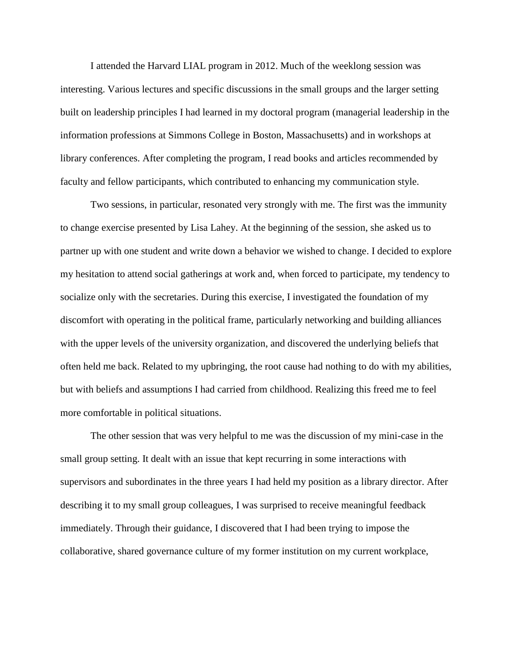I attended the Harvard LIAL program in 2012. Much of the weeklong session was interesting. Various lectures and specific discussions in the small groups and the larger setting built on leadership principles I had learned in my doctoral program (managerial leadership in the information professions at Simmons College in Boston, Massachusetts) and in workshops at library conferences. After completing the program, I read books and articles recommended by faculty and fellow participants, which contributed to enhancing my communication style.

Two sessions, in particular, resonated very strongly with me. The first was the immunity to change exercise presented by Lisa Lahey. At the beginning of the session, she asked us to partner up with one student and write down a behavior we wished to change. I decided to explore my hesitation to attend social gatherings at work and, when forced to participate, my tendency to socialize only with the secretaries. During this exercise, I investigated the foundation of my discomfort with operating in the political frame, particularly networking and building alliances with the upper levels of the university organization, and discovered the underlying beliefs that often held me back. Related to my upbringing, the root cause had nothing to do with my abilities, but with beliefs and assumptions I had carried from childhood. Realizing this freed me to feel more comfortable in political situations.

The other session that was very helpful to me was the discussion of my mini-case in the small group setting. It dealt with an issue that kept recurring in some interactions with supervisors and subordinates in the three years I had held my position as a library director. After describing it to my small group colleagues, I was surprised to receive meaningful feedback immediately. Through their guidance, I discovered that I had been trying to impose the collaborative, shared governance culture of my former institution on my current workplace,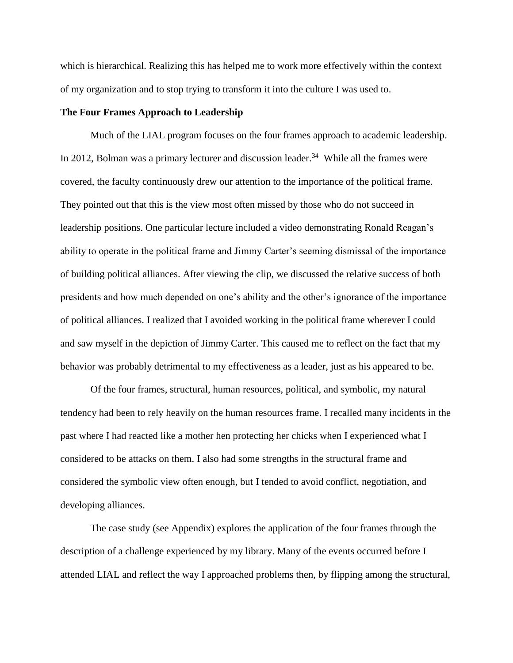which is hierarchical. Realizing this has helped me to work more effectively within the context of my organization and to stop trying to transform it into the culture I was used to.

## **The Four Frames Approach to Leadership**

Much of the LIAL program focuses on the four frames approach to academic leadership. In 2012, Bolman was a primary lecturer and discussion leader.<sup>34</sup> While all the frames were covered, the faculty continuously drew our attention to the importance of the political frame. They pointed out that this is the view most often missed by those who do not succeed in leadership positions. One particular lecture included a video demonstrating Ronald Reagan's ability to operate in the political frame and Jimmy Carter's seeming dismissal of the importance of building political alliances. After viewing the clip, we discussed the relative success of both presidents and how much depended on one's ability and the other's ignorance of the importance of political alliances. I realized that I avoided working in the political frame wherever I could and saw myself in the depiction of Jimmy Carter. This caused me to reflect on the fact that my behavior was probably detrimental to my effectiveness as a leader, just as his appeared to be.

Of the four frames, structural, human resources, political, and symbolic, my natural tendency had been to rely heavily on the human resources frame. I recalled many incidents in the past where I had reacted like a mother hen protecting her chicks when I experienced what I considered to be attacks on them. I also had some strengths in the structural frame and considered the symbolic view often enough, but I tended to avoid conflict, negotiation, and developing alliances.

The case study (see Appendix) explores the application of the four frames through the description of a challenge experienced by my library. Many of the events occurred before I attended LIAL and reflect the way I approached problems then, by flipping among the structural,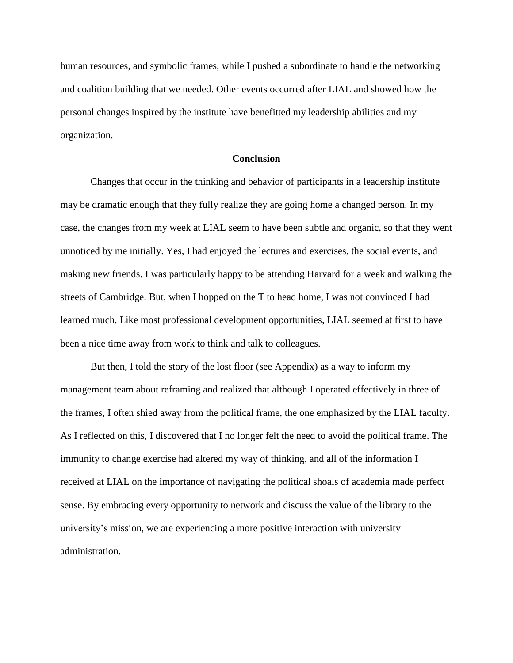human resources, and symbolic frames, while I pushed a subordinate to handle the networking and coalition building that we needed. Other events occurred after LIAL and showed how the personal changes inspired by the institute have benefitted my leadership abilities and my organization.

## **Conclusion**

Changes that occur in the thinking and behavior of participants in a leadership institute may be dramatic enough that they fully realize they are going home a changed person. In my case, the changes from my week at LIAL seem to have been subtle and organic, so that they went unnoticed by me initially. Yes, I had enjoyed the lectures and exercises, the social events, and making new friends. I was particularly happy to be attending Harvard for a week and walking the streets of Cambridge. But, when I hopped on the T to head home, I was not convinced I had learned much. Like most professional development opportunities, LIAL seemed at first to have been a nice time away from work to think and talk to colleagues.

But then, I told the story of the lost floor (see Appendix) as a way to inform my management team about reframing and realized that although I operated effectively in three of the frames, I often shied away from the political frame, the one emphasized by the LIAL faculty. As I reflected on this, I discovered that I no longer felt the need to avoid the political frame. The immunity to change exercise had altered my way of thinking, and all of the information I received at LIAL on the importance of navigating the political shoals of academia made perfect sense. By embracing every opportunity to network and discuss the value of the library to the university's mission, we are experiencing a more positive interaction with university administration.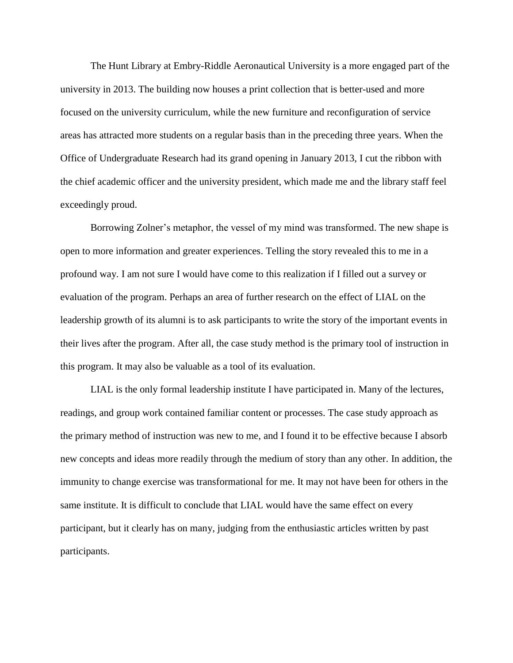The Hunt Library at Embry-Riddle Aeronautical University is a more engaged part of the university in 2013. The building now houses a print collection that is better-used and more focused on the university curriculum, while the new furniture and reconfiguration of service areas has attracted more students on a regular basis than in the preceding three years. When the Office of Undergraduate Research had its grand opening in January 2013, I cut the ribbon with the chief academic officer and the university president, which made me and the library staff feel exceedingly proud.

Borrowing Zolner's metaphor, the vessel of my mind was transformed. The new shape is open to more information and greater experiences. Telling the story revealed this to me in a profound way. I am not sure I would have come to this realization if I filled out a survey or evaluation of the program. Perhaps an area of further research on the effect of LIAL on the leadership growth of its alumni is to ask participants to write the story of the important events in their lives after the program. After all, the case study method is the primary tool of instruction in this program. It may also be valuable as a tool of its evaluation.

LIAL is the only formal leadership institute I have participated in. Many of the lectures, readings, and group work contained familiar content or processes. The case study approach as the primary method of instruction was new to me, and I found it to be effective because I absorb new concepts and ideas more readily through the medium of story than any other. In addition, the immunity to change exercise was transformational for me. It may not have been for others in the same institute. It is difficult to conclude that LIAL would have the same effect on every participant, but it clearly has on many, judging from the enthusiastic articles written by past participants.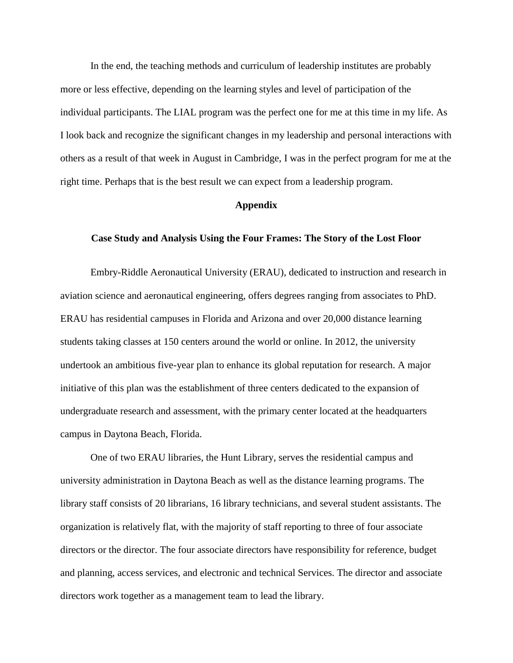In the end, the teaching methods and curriculum of leadership institutes are probably more or less effective, depending on the learning styles and level of participation of the individual participants. The LIAL program was the perfect one for me at this time in my life. As I look back and recognize the significant changes in my leadership and personal interactions with others as a result of that week in August in Cambridge, I was in the perfect program for me at the right time. Perhaps that is the best result we can expect from a leadership program.

#### **Appendix**

## **Case Study and Analysis Using the Four Frames: The Story of the Lost Floor**

Embry-Riddle Aeronautical University (ERAU), dedicated to instruction and research in aviation science and aeronautical engineering, offers degrees ranging from associates to PhD. ERAU has residential campuses in Florida and Arizona and over 20,000 distance learning students taking classes at 150 centers around the world or online. In 2012, the university undertook an ambitious five-year plan to enhance its global reputation for research. A major initiative of this plan was the establishment of three centers dedicated to the expansion of undergraduate research and assessment, with the primary center located at the headquarters campus in Daytona Beach, Florida.

One of two ERAU libraries, the Hunt Library, serves the residential campus and university administration in Daytona Beach as well as the distance learning programs. The library staff consists of 20 librarians, 16 library technicians, and several student assistants. The organization is relatively flat, with the majority of staff reporting to three of four associate directors or the director. The four associate directors have responsibility for reference, budget and planning, access services, and electronic and technical Services. The director and associate directors work together as a management team to lead the library.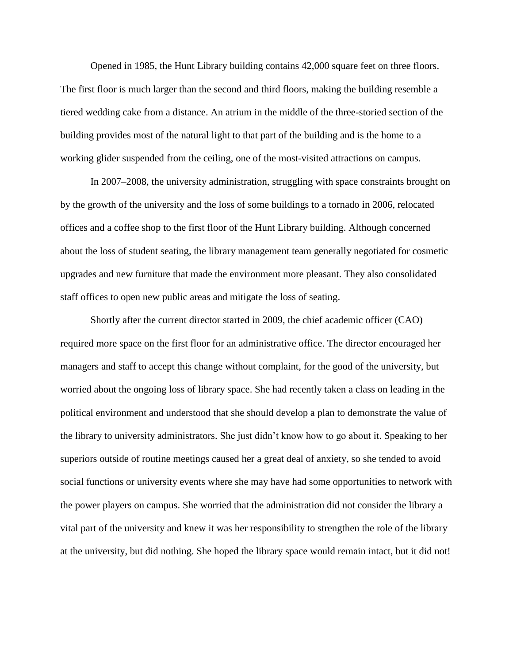Opened in 1985, the Hunt Library building contains 42,000 square feet on three floors. The first floor is much larger than the second and third floors, making the building resemble a tiered wedding cake from a distance. An atrium in the middle of the three-storied section of the building provides most of the natural light to that part of the building and is the home to a working glider suspended from the ceiling, one of the most-visited attractions on campus.

In 2007–2008, the university administration, struggling with space constraints brought on by the growth of the university and the loss of some buildings to a tornado in 2006, relocated offices and a coffee shop to the first floor of the Hunt Library building. Although concerned about the loss of student seating, the library management team generally negotiated for cosmetic upgrades and new furniture that made the environment more pleasant. They also consolidated staff offices to open new public areas and mitigate the loss of seating.

Shortly after the current director started in 2009, the chief academic officer (CAO) required more space on the first floor for an administrative office. The director encouraged her managers and staff to accept this change without complaint, for the good of the university, but worried about the ongoing loss of library space. She had recently taken a class on leading in the political environment and understood that she should develop a plan to demonstrate the value of the library to university administrators. She just didn't know how to go about it. Speaking to her superiors outside of routine meetings caused her a great deal of anxiety, so she tended to avoid social functions or university events where she may have had some opportunities to network with the power players on campus. She worried that the administration did not consider the library a vital part of the university and knew it was her responsibility to strengthen the role of the library at the university, but did nothing. She hoped the library space would remain intact, but it did not!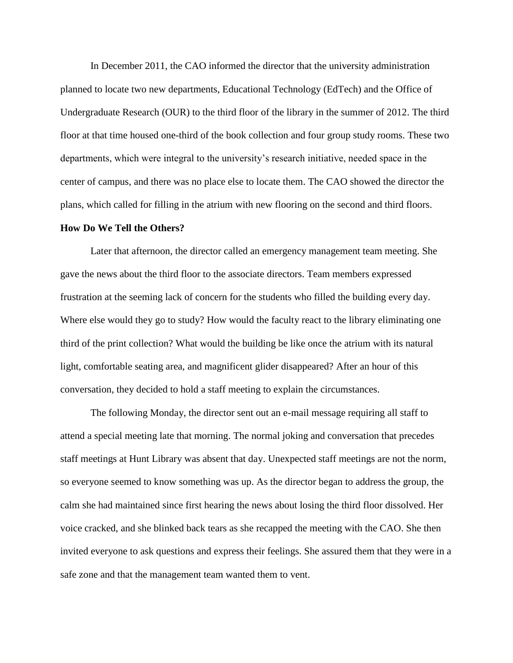In December 2011, the CAO informed the director that the university administration planned to locate two new departments, Educational Technology (EdTech) and the Office of Undergraduate Research (OUR) to the third floor of the library in the summer of 2012. The third floor at that time housed one-third of the book collection and four group study rooms. These two departments, which were integral to the university's research initiative, needed space in the center of campus, and there was no place else to locate them. The CAO showed the director the plans, which called for filling in the atrium with new flooring on the second and third floors.

#### **How Do We Tell the Others?**

Later that afternoon, the director called an emergency management team meeting. She gave the news about the third floor to the associate directors. Team members expressed frustration at the seeming lack of concern for the students who filled the building every day. Where else would they go to study? How would the faculty react to the library eliminating one third of the print collection? What would the building be like once the atrium with its natural light, comfortable seating area, and magnificent glider disappeared? After an hour of this conversation, they decided to hold a staff meeting to explain the circumstances.

The following Monday, the director sent out an e-mail message requiring all staff to attend a special meeting late that morning. The normal joking and conversation that precedes staff meetings at Hunt Library was absent that day. Unexpected staff meetings are not the norm, so everyone seemed to know something was up. As the director began to address the group, the calm she had maintained since first hearing the news about losing the third floor dissolved. Her voice cracked, and she blinked back tears as she recapped the meeting with the CAO. She then invited everyone to ask questions and express their feelings. She assured them that they were in a safe zone and that the management team wanted them to vent.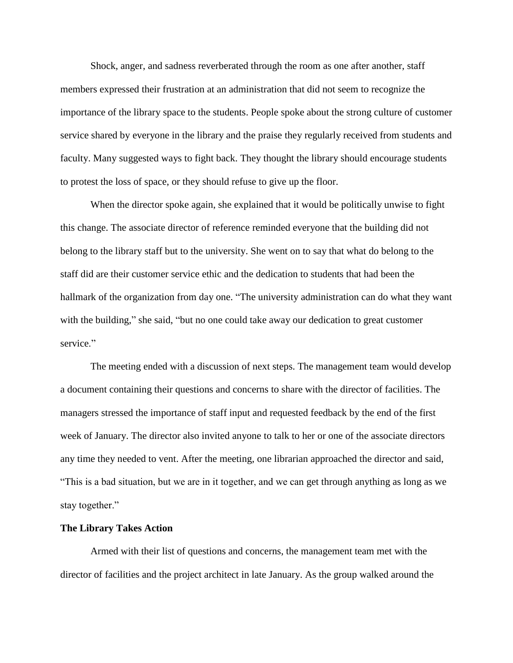Shock, anger, and sadness reverberated through the room as one after another, staff members expressed their frustration at an administration that did not seem to recognize the importance of the library space to the students. People spoke about the strong culture of customer service shared by everyone in the library and the praise they regularly received from students and faculty. Many suggested ways to fight back. They thought the library should encourage students to protest the loss of space, or they should refuse to give up the floor.

When the director spoke again, she explained that it would be politically unwise to fight this change. The associate director of reference reminded everyone that the building did not belong to the library staff but to the university. She went on to say that what do belong to the staff did are their customer service ethic and the dedication to students that had been the hallmark of the organization from day one. "The university administration can do what they want with the building," she said, "but no one could take away our dedication to great customer service."

The meeting ended with a discussion of next steps. The management team would develop a document containing their questions and concerns to share with the director of facilities. The managers stressed the importance of staff input and requested feedback by the end of the first week of January. The director also invited anyone to talk to her or one of the associate directors any time they needed to vent. After the meeting, one librarian approached the director and said, "This is a bad situation, but we are in it together, and we can get through anything as long as we stay together."

## **The Library Takes Action**

Armed with their list of questions and concerns, the management team met with the director of facilities and the project architect in late January. As the group walked around the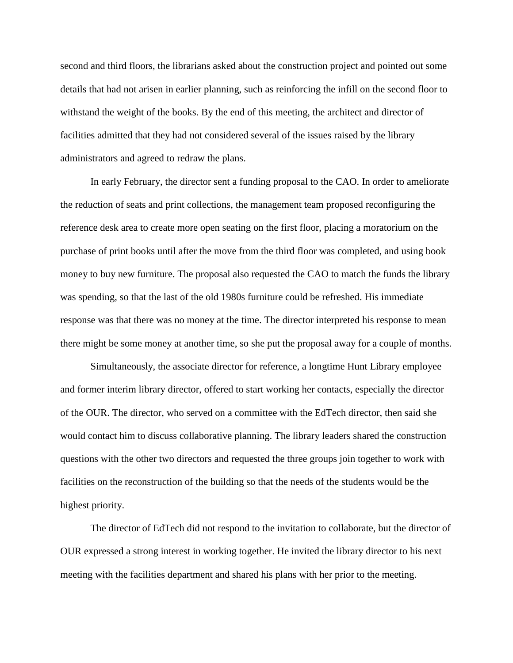second and third floors, the librarians asked about the construction project and pointed out some details that had not arisen in earlier planning, such as reinforcing the infill on the second floor to withstand the weight of the books. By the end of this meeting, the architect and director of facilities admitted that they had not considered several of the issues raised by the library administrators and agreed to redraw the plans.

In early February, the director sent a funding proposal to the CAO. In order to ameliorate the reduction of seats and print collections, the management team proposed reconfiguring the reference desk area to create more open seating on the first floor, placing a moratorium on the purchase of print books until after the move from the third floor was completed, and using book money to buy new furniture. The proposal also requested the CAO to match the funds the library was spending, so that the last of the old 1980s furniture could be refreshed. His immediate response was that there was no money at the time. The director interpreted his response to mean there might be some money at another time, so she put the proposal away for a couple of months.

Simultaneously, the associate director for reference, a longtime Hunt Library employee and former interim library director, offered to start working her contacts, especially the director of the OUR. The director, who served on a committee with the EdTech director, then said she would contact him to discuss collaborative planning. The library leaders shared the construction questions with the other two directors and requested the three groups join together to work with facilities on the reconstruction of the building so that the needs of the students would be the highest priority.

The director of EdTech did not respond to the invitation to collaborate, but the director of OUR expressed a strong interest in working together. He invited the library director to his next meeting with the facilities department and shared his plans with her prior to the meeting.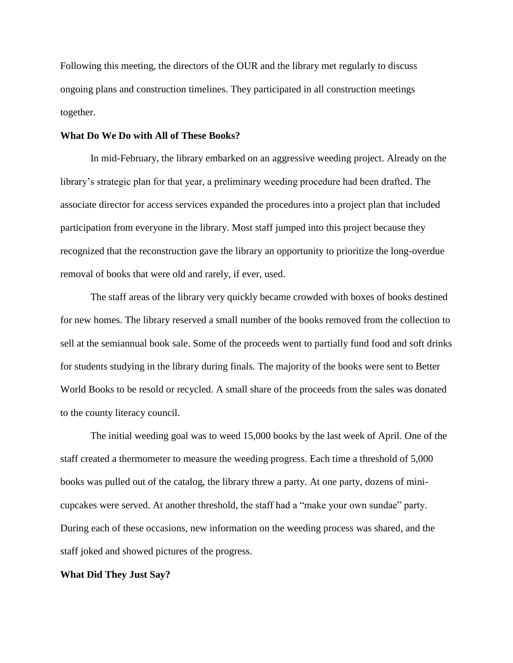Following this meeting, the directors of the OUR and the library met regularly to discuss ongoing plans and construction timelines. They participated in all construction meetings together.

## **What Do We Do with All of These Books?**

In mid-February, the library embarked on an aggressive weeding project. Already on the library's strategic plan for that year, a preliminary weeding procedure had been drafted. The associate director for access services expanded the procedures into a project plan that included participation from everyone in the library. Most staff jumped into this project because they recognized that the reconstruction gave the library an opportunity to prioritize the long-overdue removal of books that were old and rarely, if ever, used.

The staff areas of the library very quickly became crowded with boxes of books destined for new homes. The library reserved a small number of the books removed from the collection to sell at the semiannual book sale. Some of the proceeds went to partially fund food and soft drinks for students studying in the library during finals. The majority of the books were sent to Better World Books to be resold or recycled. A small share of the proceeds from the sales was donated to the county literacy council.

The initial weeding goal was to weed 15,000 books by the last week of April. One of the staff created a thermometer to measure the weeding progress. Each time a threshold of 5,000 books was pulled out of the catalog, the library threw a party. At one party, dozens of minicupcakes were served. At another threshold, the staff had a "make your own sundae" party. During each of these occasions, new information on the weeding process was shared, and the staff joked and showed pictures of the progress.

#### **What Did They Just Say?**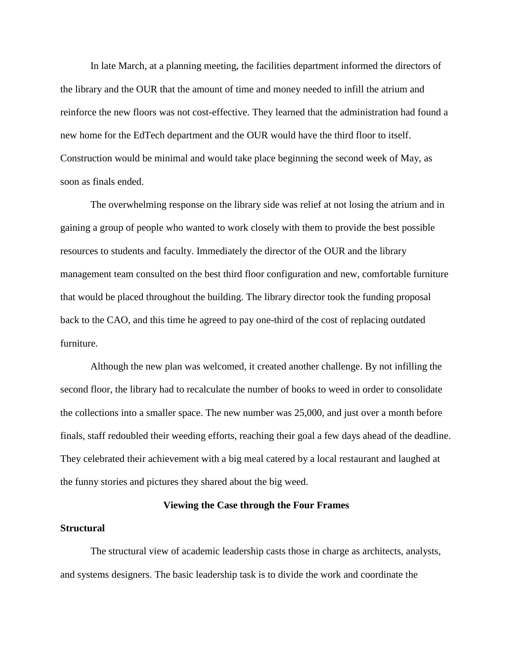In late March, at a planning meeting, the facilities department informed the directors of the library and the OUR that the amount of time and money needed to infill the atrium and reinforce the new floors was not cost-effective. They learned that the administration had found a new home for the EdTech department and the OUR would have the third floor to itself. Construction would be minimal and would take place beginning the second week of May, as soon as finals ended.

The overwhelming response on the library side was relief at not losing the atrium and in gaining a group of people who wanted to work closely with them to provide the best possible resources to students and faculty. Immediately the director of the OUR and the library management team consulted on the best third floor configuration and new, comfortable furniture that would be placed throughout the building. The library director took the funding proposal back to the CAO, and this time he agreed to pay one-third of the cost of replacing outdated furniture.

Although the new plan was welcomed, it created another challenge. By not infilling the second floor, the library had to recalculate the number of books to weed in order to consolidate the collections into a smaller space. The new number was 25,000, and just over a month before finals, staff redoubled their weeding efforts, reaching their goal a few days ahead of the deadline. They celebrated their achievement with a big meal catered by a local restaurant and laughed at the funny stories and pictures they shared about the big weed.

## **Viewing the Case through the Four Frames**

#### **Structural**

The structural view of academic leadership casts those in charge as architects, analysts, and systems designers. The basic leadership task is to divide the work and coordinate the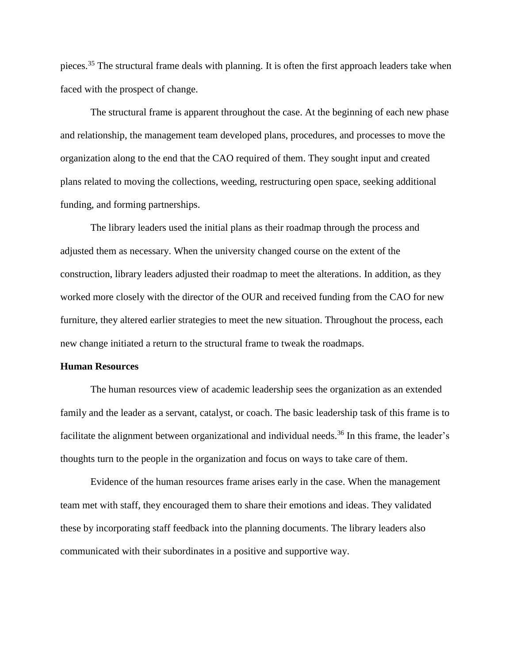pieces.<sup>35</sup> The structural frame deals with planning. It is often the first approach leaders take when faced with the prospect of change.

The structural frame is apparent throughout the case. At the beginning of each new phase and relationship, the management team developed plans, procedures, and processes to move the organization along to the end that the CAO required of them. They sought input and created plans related to moving the collections, weeding, restructuring open space, seeking additional funding, and forming partnerships.

The library leaders used the initial plans as their roadmap through the process and adjusted them as necessary. When the university changed course on the extent of the construction, library leaders adjusted their roadmap to meet the alterations. In addition, as they worked more closely with the director of the OUR and received funding from the CAO for new furniture, they altered earlier strategies to meet the new situation. Throughout the process, each new change initiated a return to the structural frame to tweak the roadmaps.

## **Human Resources**

The human resources view of academic leadership sees the organization as an extended family and the leader as a servant, catalyst, or coach. The basic leadership task of this frame is to facilitate the alignment between organizational and individual needs.<sup>36</sup> In this frame, the leader's thoughts turn to the people in the organization and focus on ways to take care of them.

Evidence of the human resources frame arises early in the case. When the management team met with staff, they encouraged them to share their emotions and ideas. They validated these by incorporating staff feedback into the planning documents. The library leaders also communicated with their subordinates in a positive and supportive way.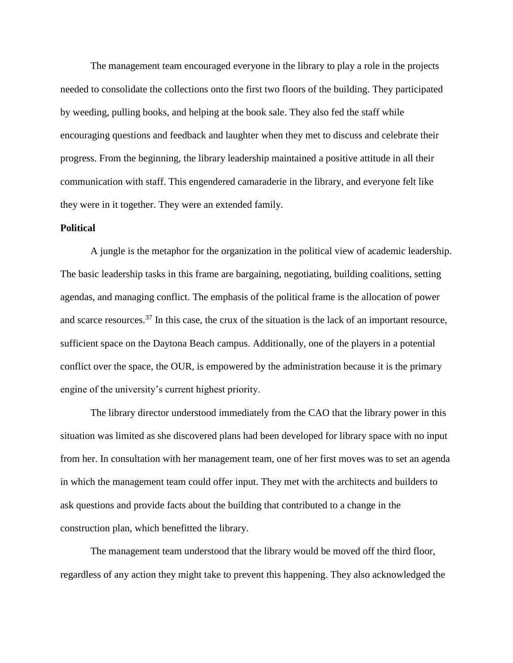The management team encouraged everyone in the library to play a role in the projects needed to consolidate the collections onto the first two floors of the building. They participated by weeding, pulling books, and helping at the book sale. They also fed the staff while encouraging questions and feedback and laughter when they met to discuss and celebrate their progress. From the beginning, the library leadership maintained a positive attitude in all their communication with staff. This engendered camaraderie in the library, and everyone felt like they were in it together. They were an extended family.

## **Political**

A jungle is the metaphor for the organization in the political view of academic leadership. The basic leadership tasks in this frame are bargaining, negotiating, building coalitions, setting agendas, and managing conflict. The emphasis of the political frame is the allocation of power and scarce resources.<sup>37</sup> In this case, the crux of the situation is the lack of an important resource, sufficient space on the Daytona Beach campus. Additionally, one of the players in a potential conflict over the space, the OUR, is empowered by the administration because it is the primary engine of the university's current highest priority.

The library director understood immediately from the CAO that the library power in this situation was limited as she discovered plans had been developed for library space with no input from her. In consultation with her management team, one of her first moves was to set an agenda in which the management team could offer input. They met with the architects and builders to ask questions and provide facts about the building that contributed to a change in the construction plan, which benefitted the library.

The management team understood that the library would be moved off the third floor, regardless of any action they might take to prevent this happening. They also acknowledged the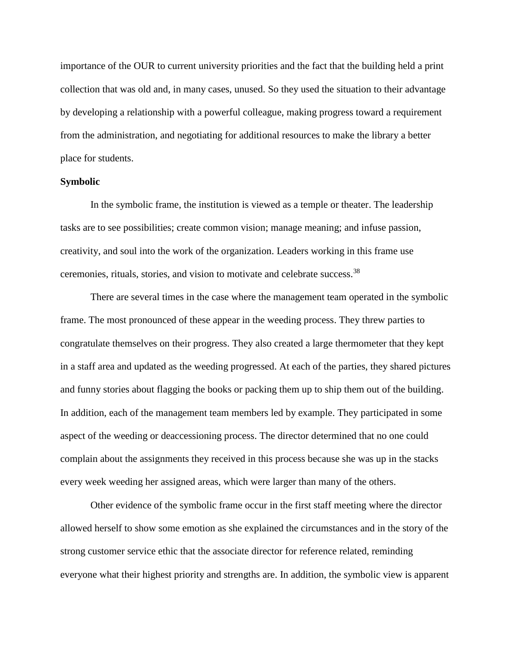importance of the OUR to current university priorities and the fact that the building held a print collection that was old and, in many cases, unused. So they used the situation to their advantage by developing a relationship with a powerful colleague, making progress toward a requirement from the administration, and negotiating for additional resources to make the library a better place for students.

## **Symbolic**

In the symbolic frame, the institution is viewed as a temple or theater. The leadership tasks are to see possibilities; create common vision; manage meaning; and infuse passion, creativity, and soul into the work of the organization. Leaders working in this frame use ceremonies, rituals, stories, and vision to motivate and celebrate success.<sup>38</sup>

There are several times in the case where the management team operated in the symbolic frame. The most pronounced of these appear in the weeding process. They threw parties to congratulate themselves on their progress. They also created a large thermometer that they kept in a staff area and updated as the weeding progressed. At each of the parties, they shared pictures and funny stories about flagging the books or packing them up to ship them out of the building. In addition, each of the management team members led by example. They participated in some aspect of the weeding or deaccessioning process. The director determined that no one could complain about the assignments they received in this process because she was up in the stacks every week weeding her assigned areas, which were larger than many of the others.

Other evidence of the symbolic frame occur in the first staff meeting where the director allowed herself to show some emotion as she explained the circumstances and in the story of the strong customer service ethic that the associate director for reference related, reminding everyone what their highest priority and strengths are. In addition, the symbolic view is apparent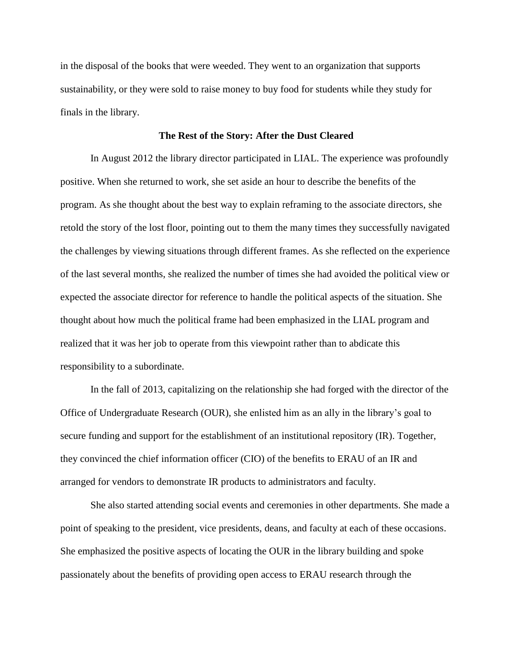in the disposal of the books that were weeded. They went to an organization that supports sustainability, or they were sold to raise money to buy food for students while they study for finals in the library.

## **The Rest of the Story: After the Dust Cleared**

In August 2012 the library director participated in LIAL. The experience was profoundly positive. When she returned to work, she set aside an hour to describe the benefits of the program. As she thought about the best way to explain reframing to the associate directors, she retold the story of the lost floor, pointing out to them the many times they successfully navigated the challenges by viewing situations through different frames. As she reflected on the experience of the last several months, she realized the number of times she had avoided the political view or expected the associate director for reference to handle the political aspects of the situation. She thought about how much the political frame had been emphasized in the LIAL program and realized that it was her job to operate from this viewpoint rather than to abdicate this responsibility to a subordinate.

In the fall of 2013, capitalizing on the relationship she had forged with the director of the Office of Undergraduate Research (OUR), she enlisted him as an ally in the library's goal to secure funding and support for the establishment of an institutional repository (IR). Together, they convinced the chief information officer (CIO) of the benefits to ERAU of an IR and arranged for vendors to demonstrate IR products to administrators and faculty.

She also started attending social events and ceremonies in other departments. She made a point of speaking to the president, vice presidents, deans, and faculty at each of these occasions. She emphasized the positive aspects of locating the OUR in the library building and spoke passionately about the benefits of providing open access to ERAU research through the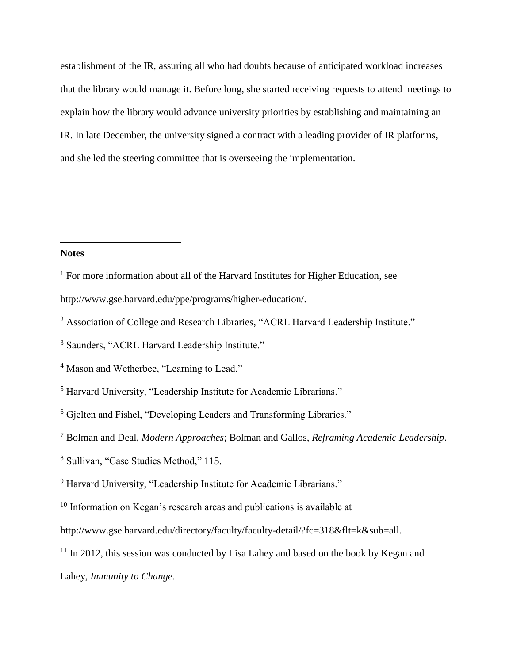establishment of the IR, assuring all who had doubts because of anticipated workload increases that the library would manage it. Before long, she started receiving requests to attend meetings to explain how the library would advance university priorities by establishing and maintaining an IR. In late December, the university signed a contract with a leading provider of IR platforms, and she led the steering committee that is overseeing the implementation.

## **Notes**

 $\overline{a}$ 

<sup>2</sup> Association of College and Research Libraries, "ACRL Harvard Leadership Institute."

<sup>&</sup>lt;sup>1</sup> For more information about all of the Harvard Institutes for Higher Education, see

[http://www.gse.harvard.edu/ppe/programs/higher-education/.](http://www.gse.harvard.edu/ppe/programs/higher-education/)

<sup>3</sup> Saunders, "ACRL Harvard Leadership Institute."

<sup>&</sup>lt;sup>4</sup> Mason and Wetherbee, "Learning to Lead."

<sup>5</sup> Harvard University, "Leadership Institute for Academic Librarians."

<sup>6</sup> Gjelten and Fishel, "Developing Leaders and Transforming Libraries."

<sup>7</sup> Bolman and Deal, *Modern Approaches*; Bolman and Gallos, *Reframing Academic Leadership*.

<sup>8</sup> Sullivan, "Case Studies Method," 115.

<sup>9</sup> Harvard University, "Leadership Institute for Academic Librarians."

<sup>&</sup>lt;sup>10</sup> Information on Kegan's research areas and publications is available at

http://www.gse.harvard.edu/directory/faculty/faculty-detail/?fc=318&flt=k&sub=all.

 $11$  In 2012, this session was conducted by Lisa Lahey and based on the book by Kegan and Lahey, *Immunity to Change*.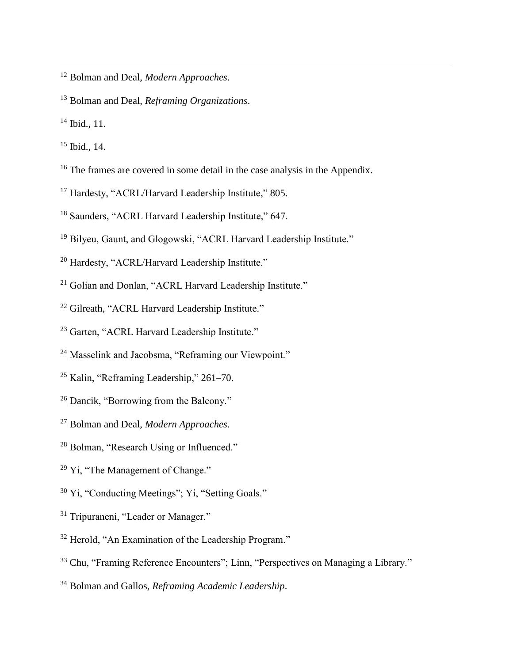- Bolman and Deal, *Modern Approaches*.
- Bolman and Deal, *Reframing Organizations*.
- Ibid., 11.

- Ibid., 14.
- <sup>16</sup> The frames are covered in some detail in the case analysis in the Appendix.
- <sup>17</sup> Hardesty, "ACRL/Harvard Leadership Institute," 805.
- <sup>18</sup> Saunders, "ACRL Harvard Leadership Institute," 647.
- <sup>19</sup> Bilyeu, Gaunt, and Glogowski, "ACRL Harvard Leadership Institute."
- Hardesty, "ACRL/Harvard Leadership Institute."
- <sup>21</sup> Golian and Donlan, "ACRL Harvard Leadership Institute."
- Gilreath, "ACRL Harvard Leadership Institute."
- Garten, "ACRL Harvard Leadership Institute."
- Masselink and Jacobsma, "Reframing our Viewpoint."
- Kalin, "Reframing Leadership," 261–70.
- Dancik, "Borrowing from the Balcony."
- Bolman and Deal, *Modern Approaches.*
- <sup>28</sup> Bolman, "Research Using or Influenced."
- <sup>29</sup> Yi, "The Management of Change."
- Yi, "Conducting Meetings"; Yi, "Setting Goals."
- Tripuraneni, "Leader or Manager."
- Herold, "An Examination of the Leadership Program."
- <sup>33</sup> Chu, "Framing Reference Encounters"; Linn, "Perspectives on Managing a Library."
- Bolman and Gallos, *Reframing Academic Leadership*.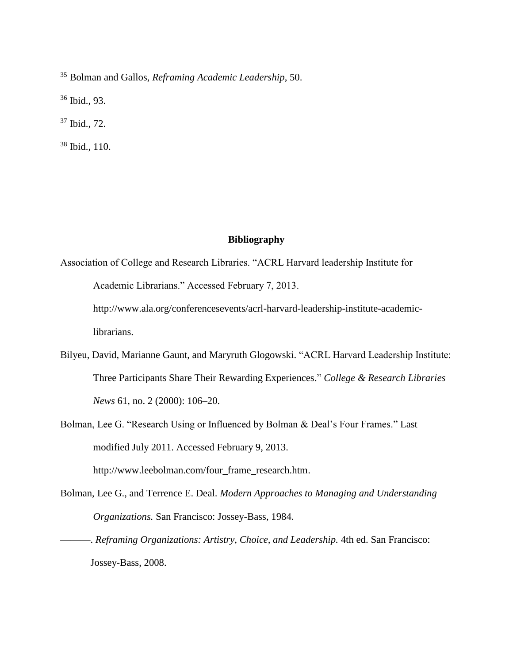<sup>35</sup> Bolman and Gallos, *Reframing Academic Leadership*, 50.

<sup>36</sup> Ibid., 93.

 $\overline{a}$ 

<sup>37</sup> Ibid., 72.

<sup>38</sup> Ibid., 110.

# **Bibliography**

Association of College and Research Libraries. "ACRL Harvard leadership Institute for Academic Librarians." Accessed February 7, 2013.

http://www.ala.org/conferencesevents/acrl-harvard-leadership-institute-academiclibrarians.

- Bilyeu, David, Marianne Gaunt, and Maryruth Glogowski. "ACRL Harvard Leadership Institute: Three Participants Share Their Rewarding Experiences." *College & Research Libraries News* 61, no. 2 (2000): 106–20.
- Bolman, Lee G. "Research Using or Influenced by Bolman & Deal's Four Frames." Last modified July 2011. Accessed February 9, 2013. http://www.leebolman.com/four\_frame\_research.htm.

Bolman, Lee G., and Terrence E. Deal. *Modern Approaches to Managing and Understanding* 

*Organizations.* San Francisco: Jossey-Bass, 1984.

———. *Reframing Organizations: Artistry, Choice, and Leadership.* 4th ed. San Francisco: Jossey-Bass, 2008.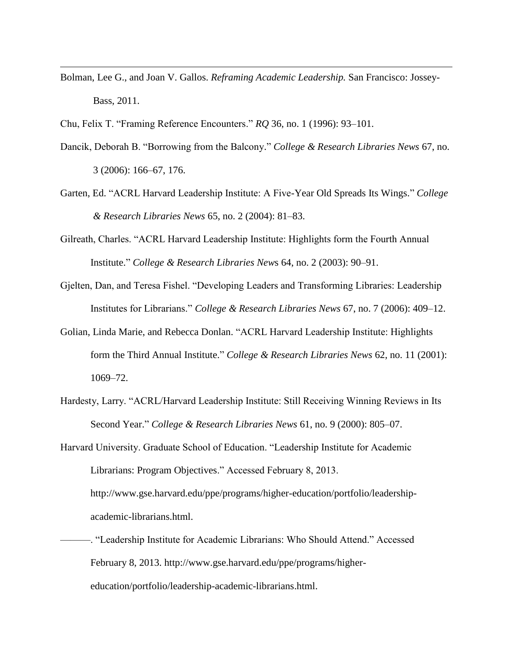Bolman, Lee G., and Joan V. Gallos. *Reframing Academic Leadership.* San Francisco: Jossey-Bass, 2011.

Chu, Felix T. "Framing Reference Encounters." *RQ* 36, no. 1 (1996): 93–101.

- Dancik, Deborah B. "Borrowing from the Balcony." *College & Research Libraries News* 67, no. 3 (2006): 166–67, 176.
- Garten, Ed. "ACRL Harvard Leadership Institute: A Five-Year Old Spreads Its Wings." *College & Research Libraries News* 65, no. 2 (2004): 81–83.
- Gilreath, Charles. "ACRL Harvard Leadership Institute: Highlights form the Fourth Annual Institute." *College & Research Libraries New*s 64, no. 2 (2003): 90–91.
- Gjelten, Dan, and Teresa Fishel. "Developing Leaders and Transforming Libraries: Leadership Institutes for Librarians." *College & Research Libraries News* 67, no. 7 (2006): 409–12.
- Golian, Linda Marie, and Rebecca Donlan. "ACRL Harvard Leadership Institute: Highlights form the Third Annual Institute." *College & Research Libraries News* 62, no. 11 (2001): 1069–72.
- Hardesty, Larry. "ACRL/Harvard Leadership Institute: Still Receiving Winning Reviews in Its Second Year." *College & Research Libraries News* 61, no. 9 (2000): 805–07.
- Harvard University. Graduate School of Education. "Leadership Institute for Academic Librarians: Program Objectives." Accessed February 8, 2013. http://www.gse.harvard.edu/ppe/programs/higher-education/portfolio/leadershipacademic-librarians.html.
- ———. "Leadership Institute for Academic Librarians: Who Should Attend." Accessed February 8, 2013. http://www.gse.harvard.edu/ppe/programs/highereducation/portfolio/leadership-academic-librarians.html.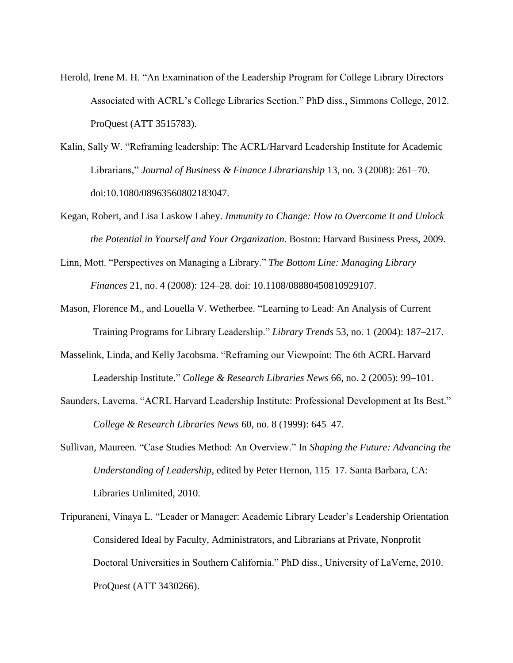Herold, Irene M. H. "An Examination of the Leadership Program for College Library Directors Associated with ACRL's College Libraries Section." PhD diss., Simmons College, 2012. ProQuest (ATT 3515783).

- Kalin, Sally W. "Reframing leadership: The ACRL/Harvard Leadership Institute for Academic Librarians," *Journal of Business & Finance Librarianship* 13, no. 3 (2008): 261–70. doi:10.1080/08963560802183047.
- Kegan, Robert, and Lisa Laskow Lahey. *Immunity to Change: How to Overcome It and Unlock the Potential in Yourself and Your Organization.* Boston: Harvard Business Press, 2009.
- Linn, Mott. "Perspectives on Managing a Library." *The Bottom Line: Managing Library Finances* 21, no. 4 (2008): 124–28. doi: 10.1108/08880450810929107.
- Mason, Florence M., and Louella V. Wetherbee. "Learning to Lead: An Analysis of Current Training Programs for Library Leadership." *Library Trends* 53, no. 1 (2004): 187–217.
- Masselink, Linda, and Kelly Jacobsma. "Reframing our Viewpoint: The 6th ACRL Harvard Leadership Institute." *College & Research Libraries News* 66, no. 2 (2005): 99–101.
- Saunders, Laverna. "ACRL Harvard Leadership Institute: Professional Development at Its Best." *College & Research Libraries News* 60, no. 8 (1999): 645–47.
- Sullivan, Maureen. "Case Studies Method: An Overview." In *Shaping the Future: Advancing the Understanding of Leadership*, edited by Peter Hernon, 115–17. Santa Barbara, CA: Libraries Unlimited, 2010.
- Tripuraneni, Vinaya L. "Leader or Manager: Academic Library Leader's Leadership Orientation Considered Ideal by Faculty, Administrators, and Librarians at Private, Nonprofit Doctoral Universities in Southern California." PhD diss., University of LaVerne, 2010. ProQuest (ATT 3430266).